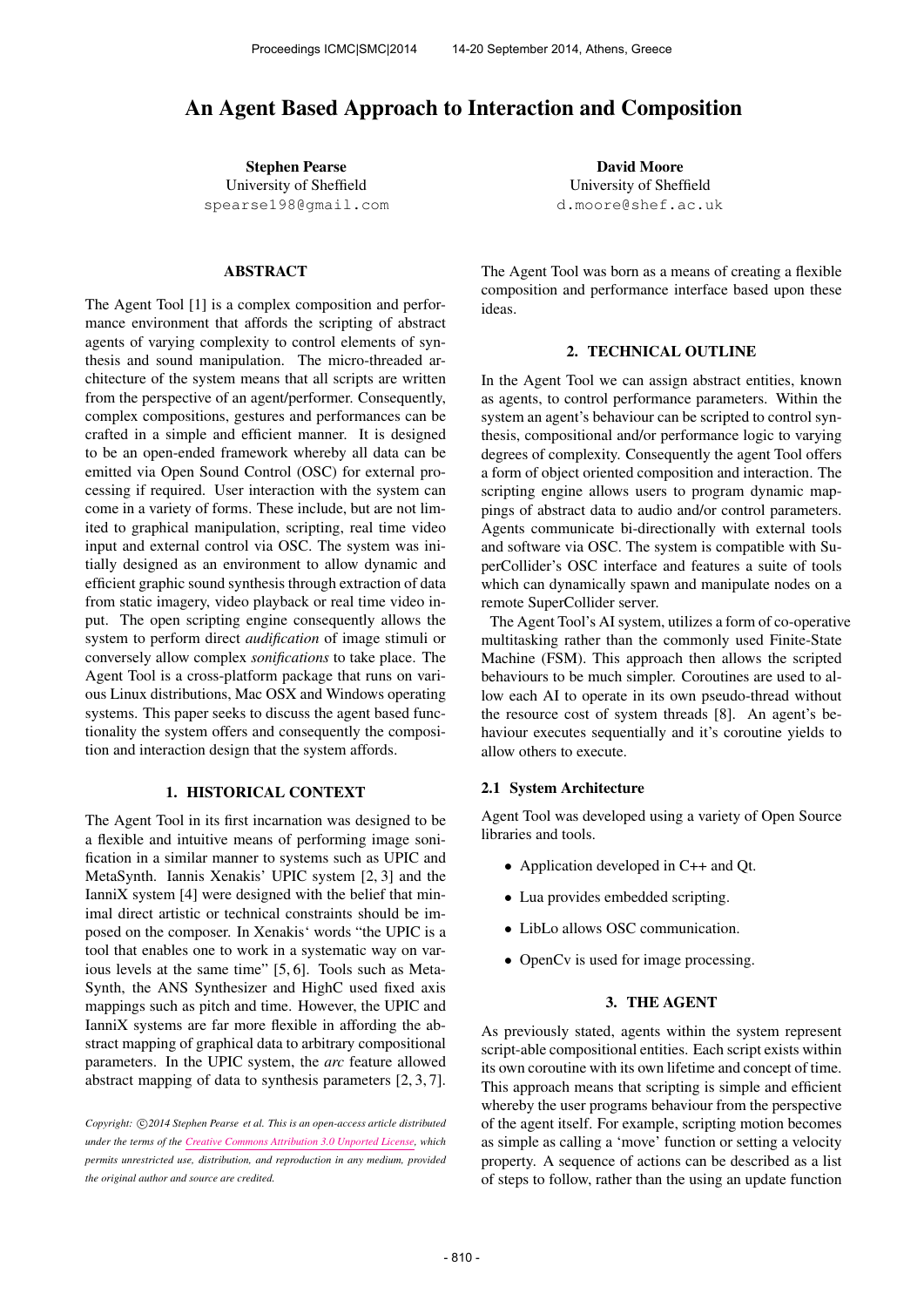# An Agent Based Approach to Interaction and Composition

Stephen Pearse University of Sheffield [spearse198@gmail.com](mailto:spearse198@gmail.com)

# ABSTRACT

The Agent Tool [1] is a complex composition and performance environment that affords the scripting of abstract agents of varying complexity to control elements of synthesis and sound manipulation. The micro-threaded architecture of the system means that all scripts are written from the perspective of an agent/performer. Consequently, complex compositions, gestures and performances can be crafted in a simple and efficient manner. It is designed to be an open-ended framework whereby all data can be emitted via Open Sound Control (OSC) for external processing if required. User interaction with the system can come in a variety of forms. These include, but are not limited to graphical manipulation, scripting, real time video input and external control via OSC. The system was initially designed as an environment to allow dynamic and efficient graphic sound synthesis through extraction of data from static imagery, video playback or real time video input. The open scripting engine consequently allows the system to perform direct *audification* of image stimuli or conversely allow complex *sonifications* to take place. The Agent Tool is a cross-platform package that runs on various Linux distributions, Mac OSX and Windows operating systems. This paper seeks to discuss the agent based functionality the system offers and consequently the composition and interaction design that the system affords.

#### 1. HISTORICAL CONTEXT

The Agent Tool in its first incarnation was designed to be a flexible and intuitive means of performing image sonification in a similar manner to systems such as UPIC and MetaSynth. Iannis Xenakis' UPIC system [2, 3] and the IanniX system [4] were designed with the belief that minimal direct artistic or technical constraints should be imposed on the composer. In Xenakis' words "the UPIC is a tool that enables one to work in a systematic way on various levels at the same time" [5, 6]. Tools such as Meta-Synth, the ANS Synthesizer and HighC used fixed axis mappings such as pitch and time. However, the UPIC and IanniX systems are far more flexible in affording the abstract mapping of graphical data to arbitrary compositional parameters. In the UPIC system, the *arc* feature allowed abstract mapping of data to synthesis parameters [2, 3, 7].

Copyright:  $\bigcirc$ 2014 Stephen Pearse et al. This is an open-access article distributed *under the terms of the [Creative Commons Attribution 3.0 Unported License,](http://creativecommons.org/licenses/by/3.0/) which permits unrestricted use, distribution, and reproduction in any medium, provided the original author and source are credited.*

David Moore University of Sheffield [d.moore@shef.ac.uk](mailto:d.moore@shef.ac.uk)

The Agent Tool was born as a means of creating a flexible composition and performance interface based upon these ideas.

## 2. TECHNICAL OUTLINE

In the Agent Tool we can assign abstract entities, known as agents, to control performance parameters. Within the system an agent's behaviour can be scripted to control synthesis, compositional and/or performance logic to varying degrees of complexity. Consequently the agent Tool offers a form of object oriented composition and interaction. The scripting engine allows users to program dynamic mappings of abstract data to audio and/or control parameters. Agents communicate bi-directionally with external tools and software via OSC. The system is compatible with SuperCollider's OSC interface and features a suite of tools which can dynamically spawn and manipulate nodes on a remote SuperCollider server.

The Agent Tool's AI system, utilizes a form of co-operative multitasking rather than the commonly used Finite-State Machine (FSM). This approach then allows the scripted behaviours to be much simpler. Coroutines are used to allow each AI to operate in its own pseudo-thread without the resource cost of system threads [8]. An agent's behaviour executes sequentially and it's coroutine yields to allow others to execute.

#### 2.1 System Architecture

Agent Tool was developed using a variety of Open Source libraries and tools.

- Application developed in C++ and Qt.
- Lua provides embedded scripting.
- LibLo allows OSC communication.
- OpenCv is used for image processing.

## 3. THE AGENT

As previously stated, agents within the system represent script-able compositional entities. Each script exists within its own coroutine with its own lifetime and concept of time. This approach means that scripting is simple and efficient whereby the user programs behaviour from the perspective of the agent itself. For example, scripting motion becomes as simple as calling a 'move' function or setting a velocity property. A sequence of actions can be described as a list of steps to follow, rather than the using an update function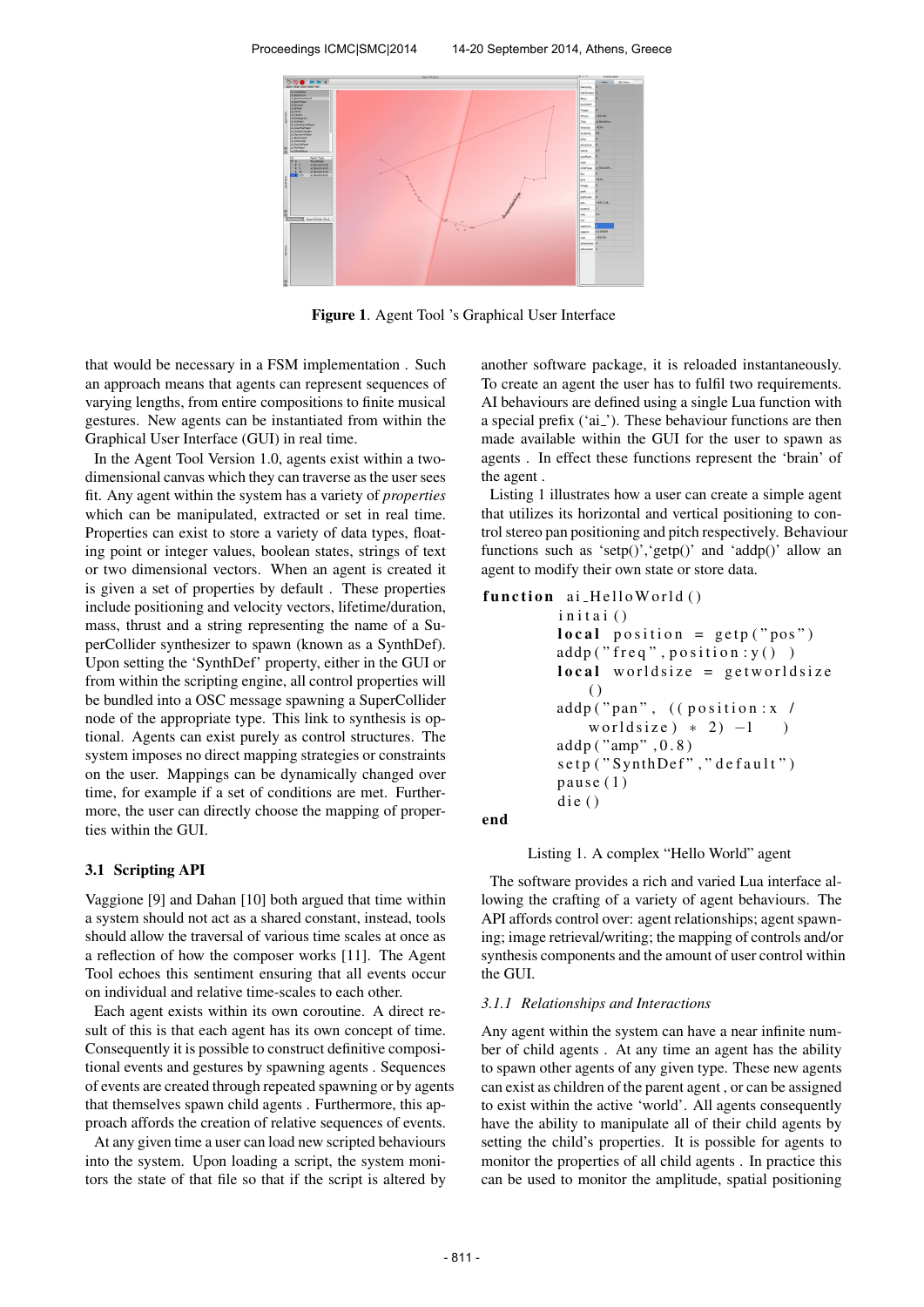

Figure 1. Agent Tool 's Graphical User Interface

that would be necessary in a FSM implementation . Such an approach means that agents can represent sequences of varying lengths, from entire compositions to finite musical gestures. New agents can be instantiated from within the Graphical User Interface (GUI) in real time.

In the Agent Tool Version 1.0, agents exist within a twodimensional canvas which they can traverse as the user sees fit. Any agent within the system has a variety of *properties* which can be manipulated, extracted or set in real time. Properties can exist to store a variety of data types, floating point or integer values, boolean states, strings of text or two dimensional vectors. When an agent is created it is given a set of properties by default . These properties include positioning and velocity vectors, lifetime/duration, mass, thrust and a string representing the name of a SuperCollider synthesizer to spawn (known as a SynthDef). Upon setting the 'SynthDef' property, either in the GUI or from within the scripting engine, all control properties will be bundled into a OSC message spawning a SuperCollider node of the appropriate type. This link to synthesis is optional. Agents can exist purely as control structures. The system imposes no direct mapping strategies or constraints on the user. Mappings can be dynamically changed over time, for example if a set of conditions are met. Furthermore, the user can directly choose the mapping of properties within the GUI.

#### 3.1 Scripting API

Vaggione [9] and Dahan [10] both argued that time within a system should not act as a shared constant, instead, tools should allow the traversal of various time scales at once as a reflection of how the composer works [11]. The Agent Tool echoes this sentiment ensuring that all events occur on individual and relative time-scales to each other.

Each agent exists within its own coroutine. A direct result of this is that each agent has its own concept of time. Consequently it is possible to construct definitive compositional events and gestures by spawning agents . Sequences of events are created through repeated spawning or by agents that themselves spawn child agents . Furthermore, this approach affords the creation of relative sequences of events.

At any given time a user can load new scripted behaviours into the system. Upon loading a script, the system monitors the state of that file so that if the script is altered by another software package, it is reloaded instantaneously. To create an agent the user has to fulfil two requirements. AI behaviours are defined using a single Lua function with a special prefix ('ai<sub>-</sub>'). These behaviour functions are then made available within the GUI for the user to spawn as agents . In effect these functions represent the 'brain' of the agent .

Listing 1 illustrates how a user can create a simple agent that utilizes its horizontal and vertical positioning to control stereo pan positioning and pitch respectively. Behaviour functions such as 'setp()', 'getp()' and 'addp()' allow an agent to modify their own state or store data.

```
function ai_HelloWorld ()
     initai()
    local position = getp("pos")addp ("freq", position: y())
     local worldsize = getworldsize
        \left( \right)addp ("pan", ((position: x /
        worldsize ) * 2 -1 )
    addp ("amp", 0.8)
     setp ("SynthDef", "default")
     pau se(1)die()
```
end

Listing 1. A complex "Hello World" agent

The software provides a rich and varied Lua interface allowing the crafting of a variety of agent behaviours. The API affords control over: agent relationships; agent spawning; image retrieval/writing; the mapping of controls and/or synthesis components and the amount of user control within the GUI.

#### *3.1.1 Relationships and Interactions*

Any agent within the system can have a near infinite number of child agents . At any time an agent has the ability to spawn other agents of any given type. These new agents can exist as children of the parent agent , or can be assigned to exist within the active 'world'. All agents consequently have the ability to manipulate all of their child agents by setting the child's properties. It is possible for agents to monitor the properties of all child agents . In practice this can be used to monitor the amplitude, spatial positioning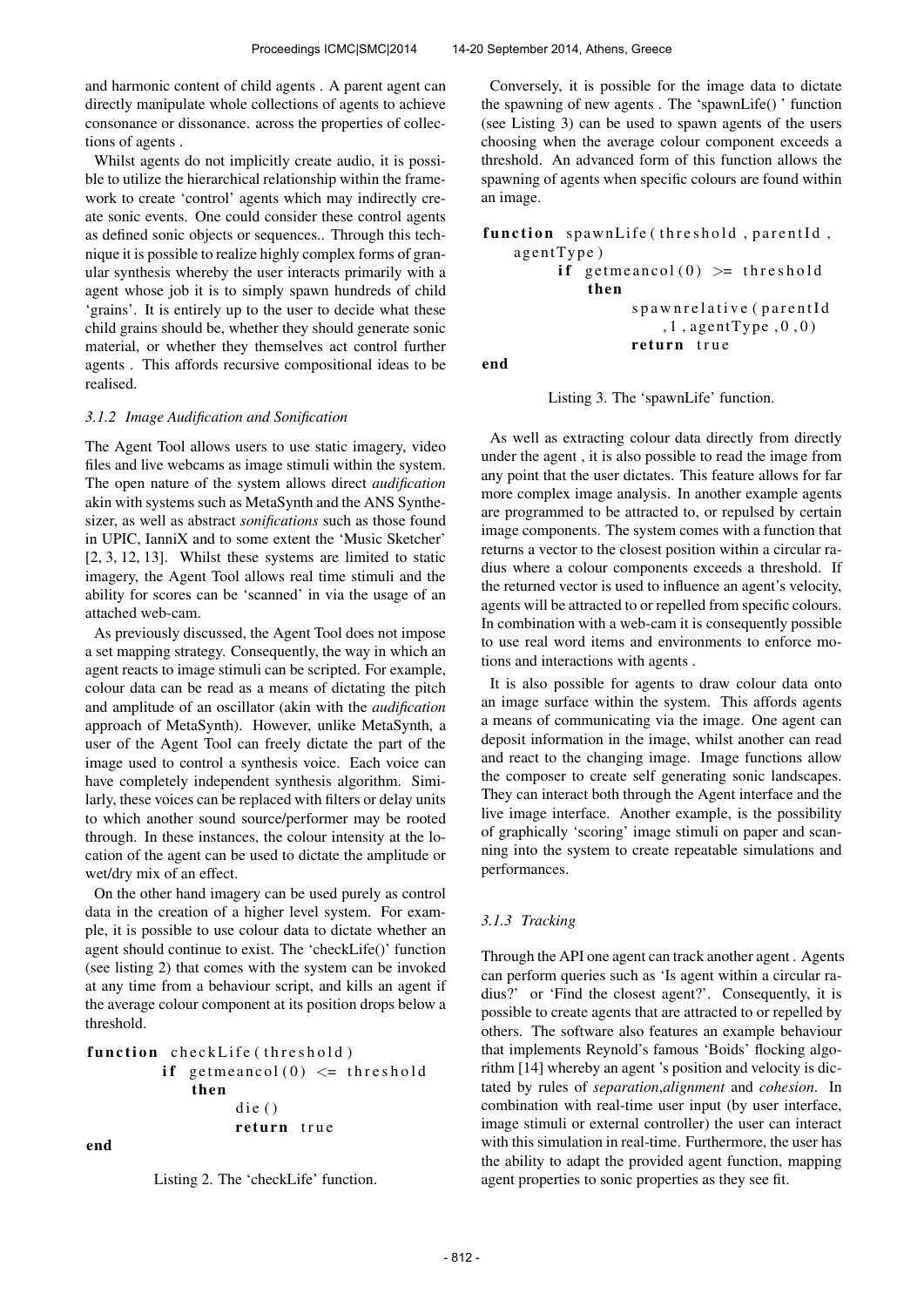and harmonic content of child agents . A parent agent can directly manipulate whole collections of agents to achieve consonance or dissonance. across the properties of collections of agents .

Whilst agents do not implicitly create audio, it is possible to utilize the hierarchical relationship within the framework to create 'control' agents which may indirectly create sonic events. One could consider these control agents as defined sonic objects or sequences.. Through this technique it is possible to realize highly complex forms of granular synthesis whereby the user interacts primarily with a agent whose job it is to simply spawn hundreds of child 'grains'. It is entirely up to the user to decide what these child grains should be, whether they should generate sonic material, or whether they themselves act control further agents . This affords recursive compositional ideas to be realised.

#### *3.1.2 Image Audification and Sonification*

The Agent Tool allows users to use static imagery, video files and live webcams as image stimuli within the system. The open nature of the system allows direct *audification* akin with systems such as MetaSynth and the ANS Synthesizer, as well as abstract *sonifications* such as those found in UPIC, IanniX and to some extent the 'Music Sketcher' [2, 3, 12, 13]. Whilst these systems are limited to static imagery, the Agent Tool allows real time stimuli and the ability for scores can be 'scanned' in via the usage of an attached web-cam.

As previously discussed, the Agent Tool does not impose a set mapping strategy. Consequently, the way in which an agent reacts to image stimuli can be scripted. For example, colour data can be read as a means of dictating the pitch and amplitude of an oscillator (akin with the *audification* approach of MetaSynth). However, unlike MetaSynth, a user of the Agent Tool can freely dictate the part of the image used to control a synthesis voice. Each voice can have completely independent synthesis algorithm. Similarly, these voices can be replaced with filters or delay units to which another sound source/performer may be rooted through. In these instances, the colour intensity at the location of the agent can be used to dictate the amplitude or wet/dry mix of an effect.

On the other hand imagery can be used purely as control data in the creation of a higher level system. For example, it is possible to use colour data to dictate whether an agent should continue to exist. The 'checkLife()' function (see listing 2) that comes with the system can be invoked at any time from a behaviour script, and kills an agent if the average colour component at its position drops below a threshold.

```
function checkLife (threshold)
     if getmeancol(0) \leq threshold
         then
              \text{die}()return true
```

```
end
```
Listing 2. The 'checkLife' function.

Conversely, it is possible for the image data to dictate the spawning of new agents . The 'spawnLife() ' function (see Listing 3) can be used to spawn agents of the users choosing when the average colour component exceeds a threshold. An advanced form of this function allows the spawning of agents when specific colours are found within an image.

```
function spawnLife (threshold, parentId,
a g e nt Type)
      if getmeancol(0) >= threshold
          then
                s p a w n r e l a t i v e (p a r e n t I d
                    , 1, agentType , 0, 0)return true
```
end

Listing 3. The 'spawnLife' function.

As well as extracting colour data directly from directly under the agent , it is also possible to read the image from any point that the user dictates. This feature allows for far more complex image analysis. In another example agents are programmed to be attracted to, or repulsed by certain image components. The system comes with a function that returns a vector to the closest position within a circular radius where a colour components exceeds a threshold. If the returned vector is used to influence an agent's velocity, agents will be attracted to or repelled from specific colours. In combination with a web-cam it is consequently possible to use real word items and environments to enforce motions and interactions with agents .

It is also possible for agents to draw colour data onto an image surface within the system. This affords agents a means of communicating via the image. One agent can deposit information in the image, whilst another can read and react to the changing image. Image functions allow the composer to create self generating sonic landscapes. They can interact both through the Agent interface and the live image interface. Another example, is the possibility of graphically 'scoring' image stimuli on paper and scanning into the system to create repeatable simulations and performances.

#### *3.1.3 Tracking*

Through the API one agent can track another agent . Agents can perform queries such as 'Is agent within a circular radius?' or 'Find the closest agent?'. Consequently, it is possible to create agents that are attracted to or repelled by others. The software also features an example behaviour that implements Reynold's famous 'Boids' flocking algorithm [14] whereby an agent 's position and velocity is dictated by rules of *separation*,*alignment* and *cohesion*. In combination with real-time user input (by user interface, image stimuli or external controller) the user can interact with this simulation in real-time. Furthermore, the user has the ability to adapt the provided agent function, mapping agent properties to sonic properties as they see fit.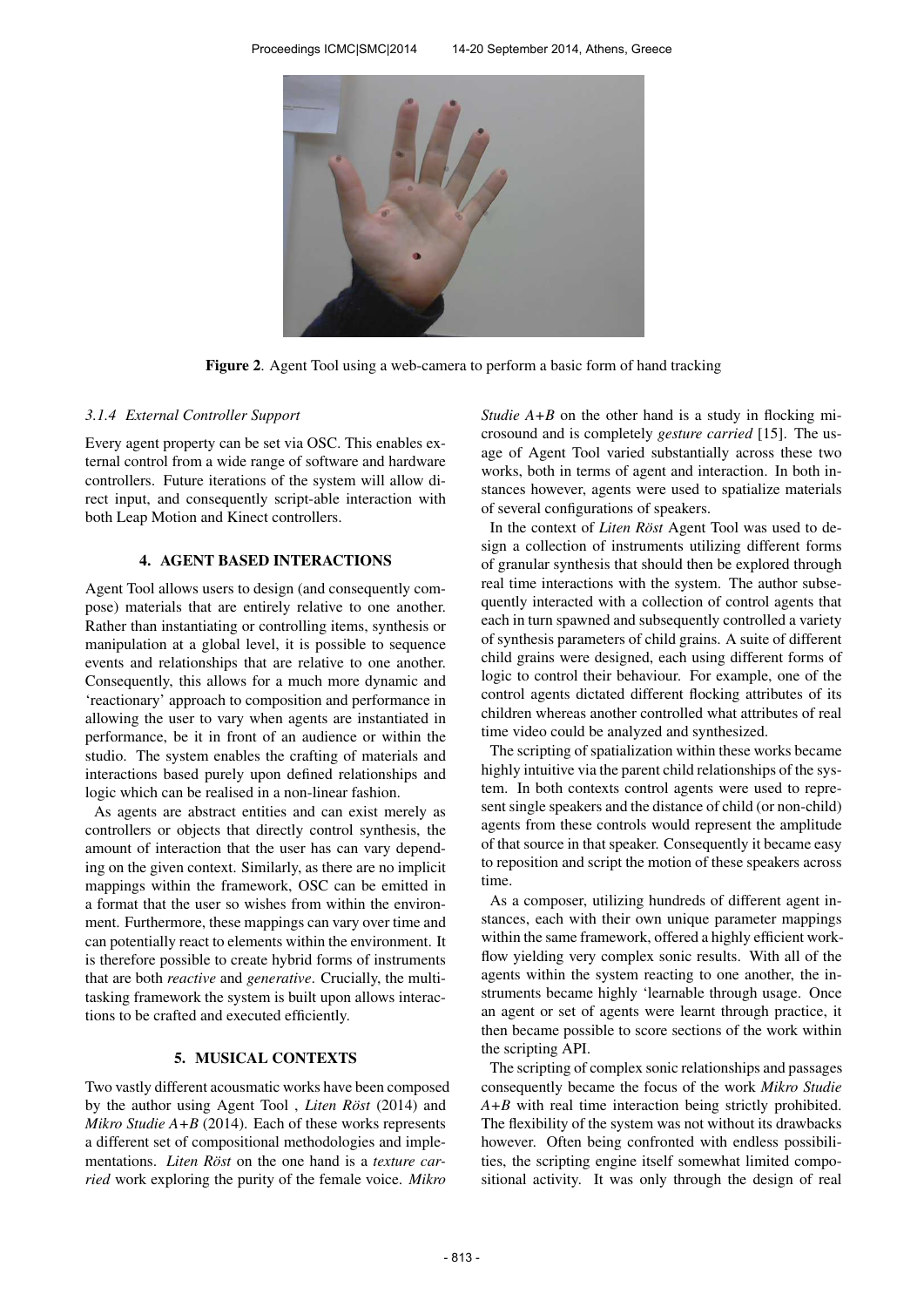

Figure 2. Agent Tool using a web-camera to perform a basic form of hand tracking

#### *3.1.4 External Controller Support*

Every agent property can be set via OSC. This enables external control from a wide range of software and hardware controllers. Future iterations of the system will allow direct input, and consequently script-able interaction with both Leap Motion and Kinect controllers.

# 4. AGENT BASED INTERACTIONS

Agent Tool allows users to design (and consequently compose) materials that are entirely relative to one another. Rather than instantiating or controlling items, synthesis or manipulation at a global level, it is possible to sequence events and relationships that are relative to one another. Consequently, this allows for a much more dynamic and 'reactionary' approach to composition and performance in allowing the user to vary when agents are instantiated in performance, be it in front of an audience or within the studio. The system enables the crafting of materials and interactions based purely upon defined relationships and logic which can be realised in a non-linear fashion.

As agents are abstract entities and can exist merely as controllers or objects that directly control synthesis, the amount of interaction that the user has can vary depending on the given context. Similarly, as there are no implicit mappings within the framework, OSC can be emitted in a format that the user so wishes from within the environment. Furthermore, these mappings can vary over time and can potentially react to elements within the environment. It is therefore possible to create hybrid forms of instruments that are both *reactive* and *generative*. Crucially, the multitasking framework the system is built upon allows interactions to be crafted and executed efficiently.

#### 5. MUSICAL CONTEXTS

Two vastly different acousmatic works have been composed by the author using Agent Tool, *Liten Röst* (2014) and *Mikro Studie A+B* (2014). Each of these works represents a different set of compositional methodologies and implementations. *Liten Röst* on the one hand is a *texture carried* work exploring the purity of the female voice. *Mikro*

*Studie A+B* on the other hand is a study in flocking microsound and is completely *gesture carried* [15]. The usage of Agent Tool varied substantially across these two works, both in terms of agent and interaction. In both instances however, agents were used to spatialize materials of several configurations of speakers.

In the context of *Liten Röst* Agent Tool was used to design a collection of instruments utilizing different forms of granular synthesis that should then be explored through real time interactions with the system. The author subsequently interacted with a collection of control agents that each in turn spawned and subsequently controlled a variety of synthesis parameters of child grains. A suite of different child grains were designed, each using different forms of logic to control their behaviour. For example, one of the control agents dictated different flocking attributes of its children whereas another controlled what attributes of real time video could be analyzed and synthesized.

The scripting of spatialization within these works became highly intuitive via the parent child relationships of the system. In both contexts control agents were used to represent single speakers and the distance of child (or non-child) agents from these controls would represent the amplitude of that source in that speaker. Consequently it became easy to reposition and script the motion of these speakers across time.

As a composer, utilizing hundreds of different agent instances, each with their own unique parameter mappings within the same framework, offered a highly efficient workflow yielding very complex sonic results. With all of the agents within the system reacting to one another, the instruments became highly 'learnable through usage. Once an agent or set of agents were learnt through practice, it then became possible to score sections of the work within the scripting API.

The scripting of complex sonic relationships and passages consequently became the focus of the work *Mikro Studie A+B* with real time interaction being strictly prohibited. The flexibility of the system was not without its drawbacks however. Often being confronted with endless possibilities, the scripting engine itself somewhat limited compositional activity. It was only through the design of real